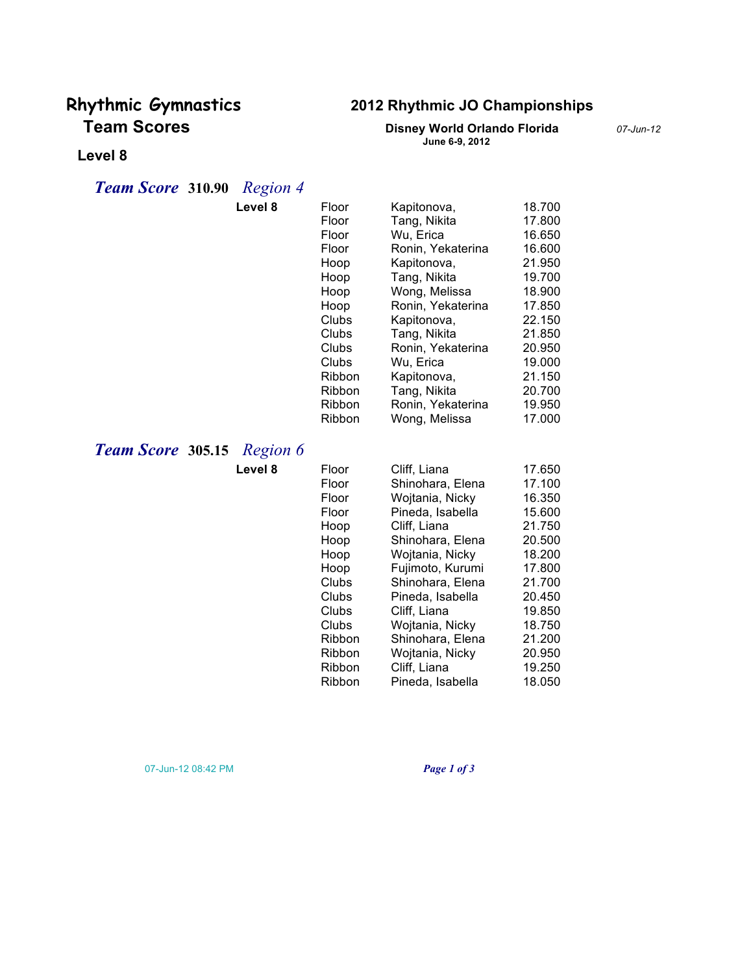# **Team Scores Disney World Orlando Florida** *07-Jun-12*

## **Rhythmic Gymnastics 2012 Rhythmic JO Championships**

**June 6-9, 2012**

#### **Level 8**

### *Team Score* **310.90** *Region 4*

|                   | Level 8  | Floor         | Kapitonova,       | 18.700 |
|-------------------|----------|---------------|-------------------|--------|
|                   |          | Floor         | Tang, Nikita      | 17.800 |
|                   |          | Floor         | Wu, Erica         | 16.650 |
|                   |          | Floor         | Ronin, Yekaterina | 16.600 |
|                   |          | Hoop          | Kapitonova,       | 21.950 |
|                   |          | Hoop          | Tang, Nikita      | 19.700 |
|                   |          | Hoop          | Wong, Melissa     | 18.900 |
|                   |          | Hoop          | Ronin, Yekaterina | 17.850 |
|                   |          | Clubs         | Kapitonova,       | 22.150 |
|                   |          | Clubs         | Tang, Nikita      | 21.850 |
|                   |          | Clubs         | Ronin, Yekaterina | 20.950 |
|                   |          | Clubs         | Wu, Erica         | 19.000 |
|                   |          | Ribbon        | Kapitonova,       | 21.150 |
|                   |          | Ribbon        | Tang, Nikita      | 20.700 |
|                   |          | Ribbon        | Ronin, Yekaterina | 19.950 |
|                   |          | Ribbon        | Wong, Melissa     | 17.000 |
|                   |          |               |                   |        |
| Team Score 305.15 | Region 6 |               |                   |        |
|                   | Level 8  | Floor         | Cliff, Liana      | 17.650 |
|                   |          | Floor         | Shinohara, Elena  | 17.100 |
|                   |          | Floor         | Wojtania, Nicky   | 16.350 |
|                   |          | Floor         | Pineda, Isabella  | 15.600 |
|                   |          | Hoop          | Cliff, Liana      | 21.750 |
|                   |          | Hoop          | Shinohara, Elena  | 20.500 |
|                   |          | Hoop          | Wojtania, Nicky   | 18.200 |
|                   |          | Hoop          | Fujimoto, Kurumi  | 17.800 |
|                   |          | Clubs         | Shinohara, Elena  | 21.700 |
|                   |          | Clubs         | Pineda, Isabella  | 20.450 |
|                   |          | Clubs         | Cliff, Liana      | 19.850 |
|                   |          | Clubs         | Wojtania, Nicky   | 18.750 |
|                   |          | <b>Ribbon</b> | Shinohara, Elena  | 21.200 |
|                   |          | Ribbon        | Wojtania, Nicky   | 20.950 |
|                   |          | Ribbon        | Cliff, Liana      | 19.250 |
|                   |          | Ribbon        | Pineda, Isabella  | 18.050 |

07-Jun-12 08:42 PM *Page 1 of 3*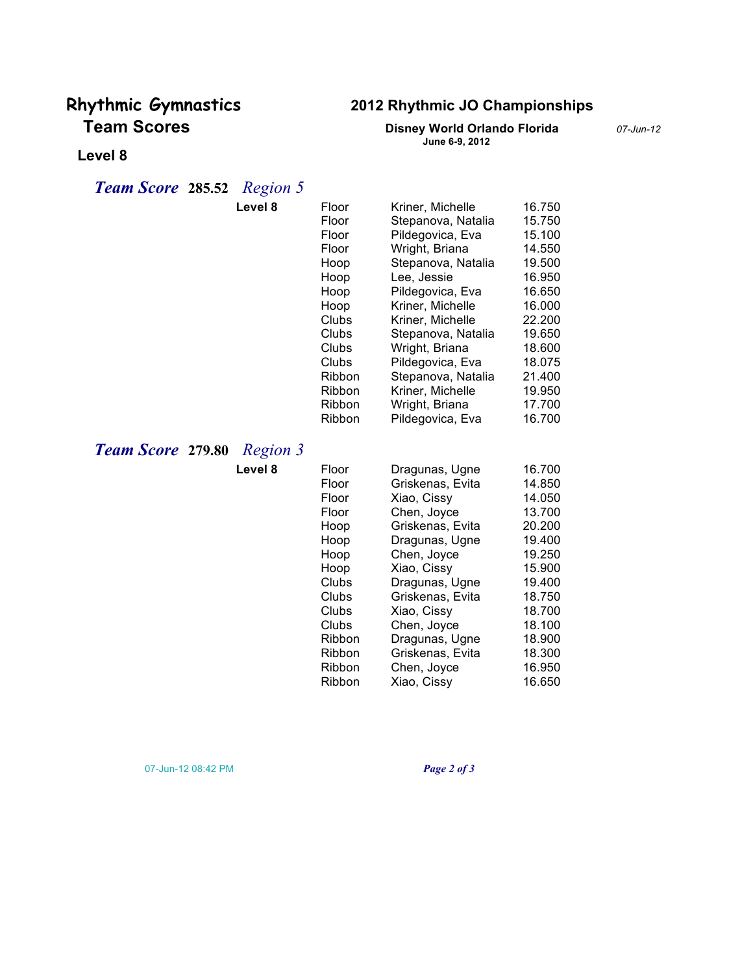# **Team Scores Disney World Orlando Florida** *07-Jun-12*

## **Rhythmic Gymnastics 2012 Rhythmic JO Championships**

**June 6-9, 2012**

#### **Level 8**

### *Team Score* **285.52** *Region 5*

| Level 8                                     | Floor  | Kriner, Michelle   | 16.750 |
|---------------------------------------------|--------|--------------------|--------|
|                                             | Floor  | Stepanova, Natalia | 15.750 |
|                                             | Floor  | Pildegovica, Eva   | 15.100 |
|                                             | Floor  | Wright, Briana     | 14.550 |
|                                             | Hoop   | Stepanova, Natalia | 19.500 |
|                                             | Hoop   | Lee, Jessie        | 16.950 |
|                                             | Hoop   | Pildegovica, Eva   | 16.650 |
|                                             | Hoop   | Kriner, Michelle   | 16.000 |
|                                             | Clubs  | Kriner, Michelle   | 22.200 |
|                                             | Clubs  | Stepanova, Natalia | 19.650 |
|                                             | Clubs  | Wright, Briana     | 18.600 |
|                                             | Clubs  | Pildegovica, Eva   | 18.075 |
|                                             | Ribbon | Stepanova, Natalia | 21.400 |
|                                             | Ribbon | Kriner, Michelle   | 19.950 |
|                                             | Ribbon | Wright, Briana     | 17.700 |
|                                             | Ribbon | Pildegovica, Eva   | 16.700 |
| <b>Team Score 279.80</b><br><b>Region 3</b> |        |                    |        |
| Level 8                                     | Floor  | Dragunas, Ugne     | 16.700 |
|                                             | Floor  | Griskenas, Evita   | 14.850 |
|                                             | Floor  | Xiao, Cissy        | 14.050 |
|                                             | Floor  | Chen, Joyce        | 13.700 |
|                                             | Hoop   | Griskenas, Evita   | 20.200 |
|                                             | Hoop   | Dragunas, Ugne     | 19.400 |
|                                             | Hoop   | Chen, Joyce        | 19.250 |
|                                             | Hoop   | Xiao, Cissy        | 15.900 |
|                                             | Clubs  | Dragunas, Ugne     | 19.400 |
|                                             | Clubs  | Griskenas, Evita   | 18.750 |
|                                             | Clubs  | Xiao, Cissy        | 18.700 |
|                                             | Clubs  | Chen, Joyce        | 18.100 |
|                                             | Ribbon | Dragunas, Ugne     | 18.900 |
|                                             | Ribbon | Griskenas, Evita   | 18.300 |
|                                             | Ribbon | Chen, Joyce        | 16.950 |
|                                             | Ribbon | Xiao, Cissy        | 16.650 |

07-Jun-12 08:42 PM *Page 2 of 3*